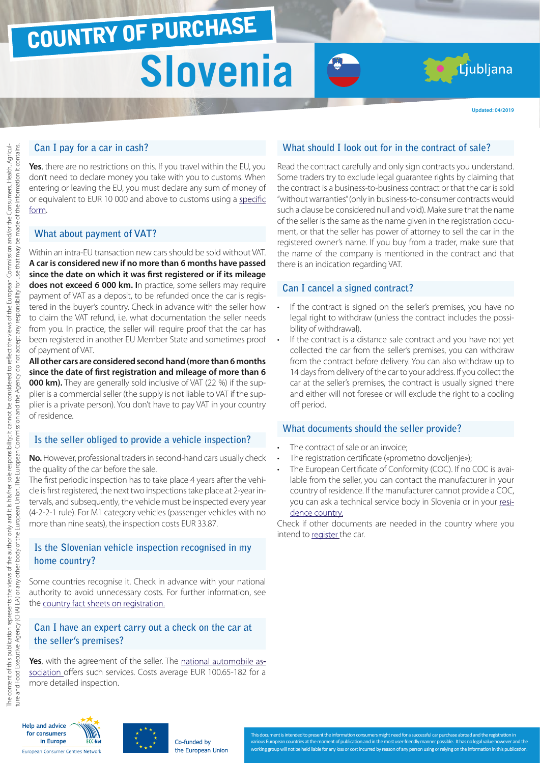**Updated: 04/2019**

### **Can I pay for a car in cash?**

**Yes**, there are no restrictions on this. If you travel within the EU, you don't need to declare money you take with you to customs. When entering or leaving the EU, you must declare any sum of money of or equivalent to EUR 10 000 and above to customs using a [specific](http://ec.europa.eu/taxation_customs/resources/documents/customs/customs_controls/cash_controls/declaration_forms/declaration_form_si_en.pdf) [form.](http://ec.europa.eu/taxation_customs/resources/documents/customs/customs_controls/cash_controls/declaration_forms/declaration_form_si_en.pdf)

### **What about payment of VAT?**

Within an intra-EU transaction new cars should be sold without VAT. **A car is considered new if no more than 6 months have passed since the date on which it was first registered or if its mileage does not exceed 6 000 km. I**n practice, some sellers may require payment of VAT as a deposit, to be refunded once the car is registered in the buyer's country. Check in advance with the seller how to claim the VAT refund, i.e. what documentation the seller needs from you. In practice, the seller will require proof that the car has been registered in another EU Member State and sometimes proof of payment of VAT.

**All other cars are considered second hand (more than 6 months since the date of first registration and mileage of more than 6 000 km).** They are generally sold inclusive of VAT (22 %) if the supplier is a commercial seller (the supply is not liable to VAT if the supplier is a private person). You don't have to pay VAT in your country of residence.

### **Is the seller obliged to provide a vehicle inspection?**

**No.** However, professional traders in second-hand cars usually check the quality of the car before the sale.

The first periodic inspection has to take place 4 years after the vehicle is first registered, the next two inspections take place at 2-year intervals, and subsequently, the vehicle must be inspected every year (4-2-2-1 rule). For M1 category vehicles (passenger vehicles with no more than nine seats), the inspection costs EUR 33.87.

### **Is the Slovenian vehicle inspection recognised in my home country?**

Some countries recognise it. Check in advance with your national authority to avoid unnecessary costs. For further information, see the [country fact sheets on registration.](http://www.europe-consommateurs.eu/en/consumer-topics/on-the-road/buying-a-car/cross-border-car-purchase-and-registration/)

# **Can I have an expert carry out a check on the car at the seller's premises?**

**Yes**, with the agreement of the seller. The [national automobile as](http://www.amzs.si/si/929/Pregled_vozila_pred_nakupom.aspx)[sociation](http://www.amzs.si/si/929/Pregled_vozila_pred_nakupom.aspx) offers such services. Costs average EUR 100.65-182 for a more detailed inspection.

# **What should I look out for in the contract of sale?**

Read the contract carefully and only sign contracts you understand. Some traders try to exclude legal guarantee rights by claiming that the contract is a business-to-business contract or that the car is sold "without warranties" (only in business-to-consumer contracts would such a clause be considered null and void). Make sure that the name of the seller is the same as the name given in the registration document, or that the seller has power of attorney to sell the car in the registered owner's name. If you buy from a trader, make sure that the name of the company is mentioned in the contract and that there is an indication regarding VAT.

### **Can I cancel a signed contract?**

- If the contract is signed on the seller's premises, you have no legal right to withdraw (unless the contract includes the possibility of withdrawal).
- If the contract is a distance sale contract and you have not yet collected the car from the seller's premises, you can withdraw from the contract before delivery. You can also withdraw up to 14 days from delivery of the car to your address. If you collect the car at the seller's premises, the contract is usually signed there and either will not foresee or will exclude the right to a cooling off period.

#### **What documents should the seller provide?**

- The contract of sale or an invoice;
- The registration certificate («prometno dovoljenje»);
- The European Certificate of Conformity (COC). If no COC is available from the seller, you can contact the manufacturer in your country of residence. If the manufacturer cannot provide a COC, you can ask a technical service body in Slovenia or in your residenc[e country.](http://www.europe-consommateurs.eu/en/consumer-topics/on-the-road/buying-a-car/cross-border-car-purchase-and-registration/)

Check if other documents are needed in the country where you intend to [register t](http://www.europe-consommateurs.eu/en/consumer-topics/on-the-road/buying-a-car/cross-border-car-purchase-and-registration/)he car.